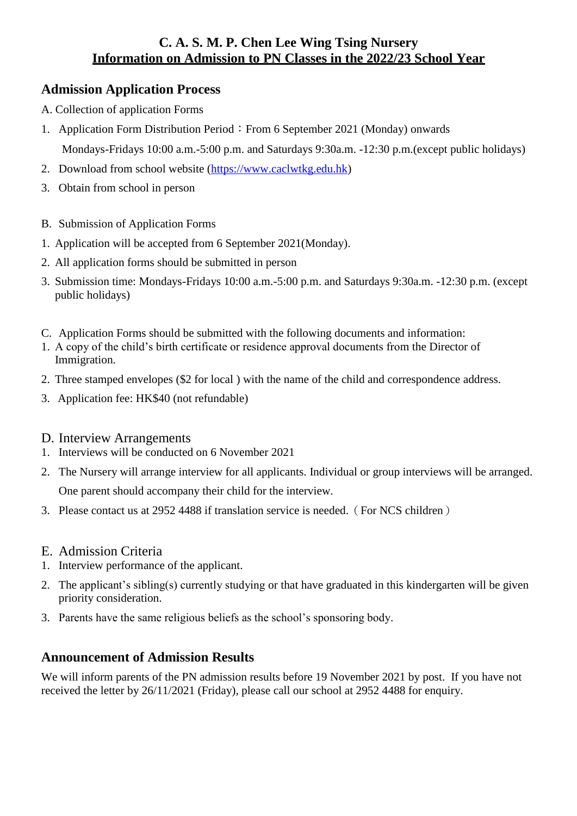## **C. A. S. M. P. Chen Lee Wing Tsing Nursery Information on Admission to PN Classes in the 2022/23 School Year**

# **Admission Application Process**

- A. Collection of application Forms
- 1. Application Form Distribution Period: From 6 September 2021 (Monday) onwards

Mondays-Fridays 10:00 a.m.-5:00 p.m. and Saturdays 9:30a.m. -12:30 p.m.(except public holidays)

- 2. Download from school website [\(https://www.caclwtkg.edu.hk\)](https://www.caclwtkg.edu.hk/)
- 3. Obtain from school in person
- B. Submission of Application Forms
- 1. Application will be accepted from 6 September 2021(Monday).
- 2. All application forms should be submitted in person
- 3. Submission time: Mondays-Fridays 10:00 a.m.-5:00 p.m. and Saturdays 9:30a.m. -12:30 p.m. (except public holidays)
- C. Application Forms should be submitted with the following documents and information:
- 1. A copy of the child's birth certificate or residence approval documents from the Director of Immigration.
- 2. Three stamped envelopes (\$2 for local ) with the name of the child and correspondence address.
- 3. Application fee: HK\$40 (not refundable)

### D. Interview Arrangements

- 1. Interviews will be conducted on 6 November 2021
- 2. The Nursery will arrange interview for all applicants. Individual or group interviews will be arranged. One parent should accompany their child for the interview.
- 3. Please contact us at 2952 4488 if translation service is needed.(For NCS children)
- E. Admission Criteria
- 1. Interview performance of the applicant.
- 2. The applicant's sibling(s) currently studying or that have graduated in this kindergarten will be given priority consideration.
- 3. Parents have the same religious beliefs as the school's sponsoring body.

## **Announcement of Admission Results**

We will inform parents of the PN admission results before 19 November 2021 by post. If you have not received the letter by 26/11/2021 (Friday), please call our school at 2952 4488 for enquiry.